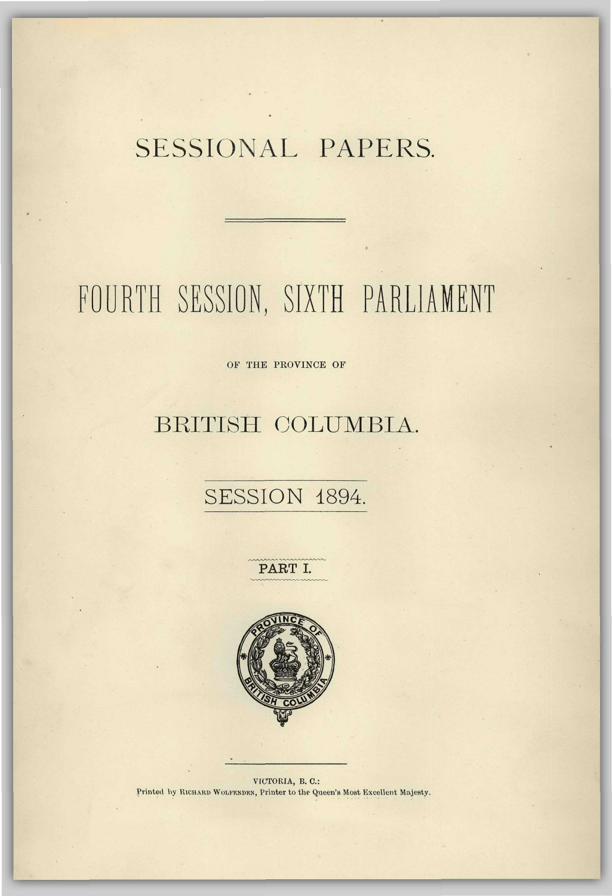## SESSIONAL PAPERS.

# FOURTH SESSION, SIXTH PARLIAMENT

OF THE PROVINCE OF

### BRITISH COLUMBIA.

### SESSION 1894.

PART I.



VICTORIA, B. C: Printed by KICHARD WULFKNDKN, Printer to the Queen's Most Excellent Majesty.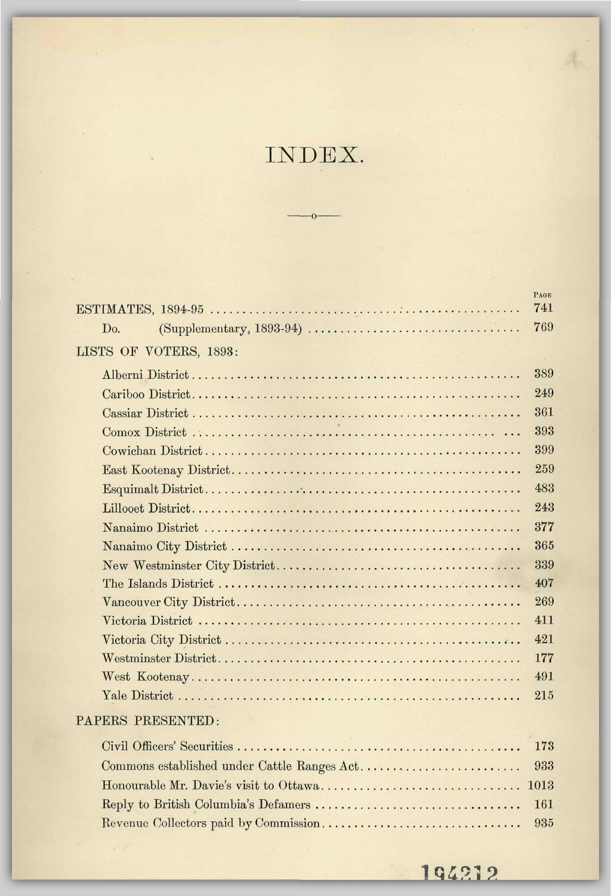### INDEX.

 $\overline{O}$ 

|                        | <b>PAGE</b> |
|------------------------|-------------|
|                        | 741         |
| Do.                    | 769         |
| LISTS OF VOTERS, 1893: |             |
|                        | 389         |
|                        | 249         |
|                        | 361         |
|                        | 393         |
|                        | 399         |
|                        | 259         |
|                        | 483         |
|                        | 243         |
|                        | 377         |
|                        | 365         |
|                        | 339         |
|                        | 407         |
|                        | 269         |
|                        | 411         |
|                        | 421         |
|                        | 177         |
|                        | 491         |
|                        | 215         |
| PAPERS PRESENTED:      |             |
|                        | 173         |
|                        | 933         |
|                        |             |

Reply to British Columbia's Defamers 161 Revenue Collectors paid by Commission 935

194212